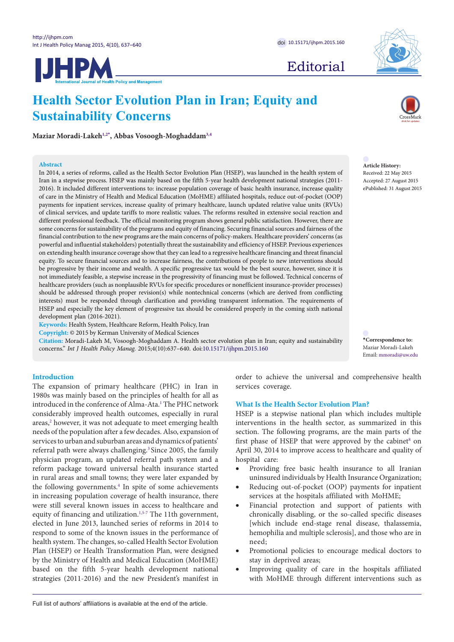

**IJHPM** 

Editorial

**Article History:** Received: 22 May 2015 Accepted: 27 August 2015 ePublished: 31 August 2015

<span id="page-0-0"></span>**\*Correspondence to:** Maziar Moradi-Lakeh Email: mmoradi@uw.edu

**Sustainability Concerns**

**Maziar Moradi-Lake[h1](#page-2-0),[2](#page-2-1)[\\*](#page-0-0) , Abbas Vosoogh-Moghadda[m3](#page-2-2),[4](#page-2-3)**

## **Abstract**

In 2014, a series of reforms, called as the Health Sector Evolution Plan (HSEP), was launched in the health system of Iran in a stepwise process. HSEP was mainly based on the fifth 5-year health development national strategies (2011- 2016). It included different interventions to: increase population coverage of basic health insurance, increase quality of care in the Ministry of Health and Medical Education (MoHME) affiliated hospitals, reduce out-of-pocket (OOP) payments for inpatient services, increase quality of primary healthcare, launch updated relative value units (RVUs) of clinical services, and update tariffs to more realistic values. The reforms resulted in extensive social reaction and different professional feedback. The official monitoring program shows general public satisfaction. However, there are some concerns for sustainability of the programs and equity of financing. Securing financial sources and fairness of the financial contribution to the new programs are the main concerns of policy-makers. Healthcare providers' concerns (as powerful and influential stakeholders) potentially threat the sustainability and efficiency of HSEP. Previous experiences on extending health insurance coverage show that they can lead to a regressive healthcare financing and threat financial equity. To secure financial sources and to increase fairness, the contributions of people to new interventions should be progressive by their income and wealth. A specific progressive tax would be the best source, however, since it is not immediately feasible, a stepwise increase in the progressivity of financing must be followed. Technical concerns of healthcare providers (such as nonplausible RVUs for specific procedures or nonefficient insurance-provider processes) should be addressed through proper revision(s) while nontechnical concerns (which are derived from conflicting interests) must be responded through clarification and providing transparent information. The requirements of HSEP and especially the key element of progressive tax should be considered properly in the coming sixth national development plan (2016-2021).

**Health Sector Evolution Plan in Iran; Equity and** 

**Keywords:** Health System, Healthcare Reform, Health Policy, Iran

**Copyright:** © 2015 by Kerman University of Medical Sciences

**Citation:** Moradi-Lakeh M, Vosoogh-Moghaddam A. Health sector evolution plan in Iran; equity and sustainability concerns." *Int J Health Policy Manag.* 2015;4(10):637–640. doi:[10.15171/ijhpm.2015.160](http://dx.doi.org/10.15171/ijhpm.2015.160)

## **Introduction**

The expansion of primary healthcare (PHC) in Iran in 1980s was mainly based on the principles of health for all as introduced in the conference of Alma-Ata.<sup>[1](#page-2-4)</sup> The PHC network considerably improved health outcomes, especially in rural areas,<sup>2</sup> however, it was not adequate to meet emerging health needs of the population after a few decades. Also, expansion of services to urban and suburban areas and dynamics of patients' referral path were always challenging.<sup>3</sup> Since 2005, the family physician program, an updated referral path system and a reform package toward universal health insurance started in rural areas and small towns; they were later expanded by the following governments.<sup>4</sup> In spite of some achievements in increasing population coverage of health insurance, there were still several known issues in access to healthcare and equity of financing and utilization.<sup>1[,5](#page-2-8)[-7](#page-2-9)</sup> The 11th government, elected in June 2013, launched series of reforms in 2014 to respond to some of the known issues in the performance of health system. The changes, so-called Health Sector Evolution Plan (HSEP) or Health Transformation Plan, were designed by the Ministry of Health and Medical Education (MoHME) based on the fifth 5-year health development national strategies (2011-2016) and the new President's manifest in

order to achieve the universal and comprehensive health services coverage.

## **What Is the Health Sector Evolution Plan?**

HSEP is a stepwise national plan which includes multiple interventions in the health sector, as summarized in this section. The following programs, are the main parts of the first phase of HSEP that were approved by the cabinet<sup>[8](#page-2-10)</sup> on April 30, 2014 to improve access to healthcare and quality of hospital care:

- Providing free basic health insurance to all Iranian uninsured individuals by Health Insurance Organization;
- Reducing out-of-pocket (OOP) payments for inpatient services at the hospitals affiliated with MoHME;
- Financial protection and support of patients with chronically disabling, or the so-called specific diseases [which include end-stage renal disease, thalassemia, hemophilia and multiple sclerosis], and those who are in need;
- Promotional policies to encourage medical doctors to stay in deprived areas;
- Improving quality of care in the hospitals affiliated with MoHME through different interventions such as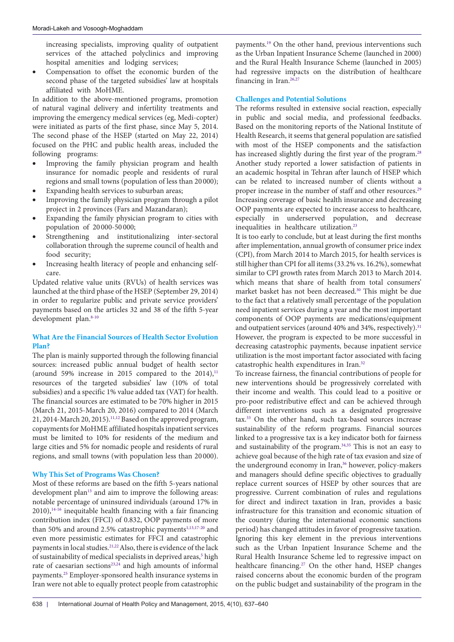increasing specialists, improving quality of outpatient services of the attached polyclinics and improving hospital amenities and lodging services;

Compensation to offset the economic burden of the second phase of the targeted subsidies' law at hospitals affiliated with MoHME.

In addition to the above-mentioned programs, promotion of natural vaginal delivery and infertility treatments and improving the emergency medical services (eg, Medi-copter) were initiated as parts of the first phase, since May 5, 2014. The second phase of the HSEP (started on May 22, 2014) focused on the PHC and public health areas, included the following programs:

- Improving the family physician program and health insurance for nomadic people and residents of rural regions and small towns (population of less than 20 000);
- Expanding health services to suburban areas;
- Improving the family physician program through a pilot project in 2 provinces (Fars and Mazandaran);
- Expanding the family physician program to cities with population of 20 000-50 000;
- Strengthening and institutionalizing inter-sectoral collaboration through the supreme council of health and food security;
- Increasing health literacy of people and enhancing selfcare.

Updated relative value units (RVUs) of health services was launched at the third phase of the HSEP (September 29, 2014) in order to regularize public and private service providers' payments based on the articles 32 and 38 of the fifth 5-year development plan.[8-](#page-2-10)[10](#page-2-11)

# **What Are the Financial Sources of Health Sector Evolution Plan?**

The plan is mainly supported through the following financial sources: increased public annual budget of health sector (around 59% increase in 2015 compared to the 2014), $^{11}$  $^{11}$  $^{11}$ resources of the targeted subsidies' law (10% of total subsidies) and a specific 1% value added tax (VAT) for health. The financial sources are estimated to be 70% higher in 2015 (March 21, 2015-March 20, 2016) compared to 2014 (March 21, 2014-March 20, 2015).<sup>[11](#page-2-12),[12](#page-2-13)</sup> Based on the approved program, copayments for MoHME affiliated hospitals inpatient services must be limited to 10% for residents of the medium and large cities and 5% for nomadic people and residents of rural regions, and small towns (with population less than 20 000).

# **Why This Set of Programs Was Chosen?**

Most of these reforms are based on the fifth 5-years national development plan<sup>[13](#page-2-14)</sup> and aim to improve the following areas: notable percentage of uninsured individuals (around 17% in  $2010$ ),<sup>14-16</sup> inequitable health financing with a fair financing contribution index (FFCI) of 0.832, OOP payments of more than 50% and around 2.5% catastrophic payments<sup>1[,13](#page-2-14)[,17-](#page-3-1)20</sup> and even more pessimistic estimates for FFCI and catastrophic payments in local studies.<sup>21[,22](#page-3-4)</sup> Also, there is evidence of the lack of sustainability of medical specialists in deprived areas,<sup>5</sup> high rate of caesarian sections<sup>23,24</sup> and high amounts of informal payments[.25](#page-3-7) Employer-sponsored health insurance systems in Iran were not able to equally protect people from catastrophic

payments.[19](#page-3-8) On the other hand, previous interventions such as the Urban Inpatient Insurance Scheme (launched in 2000) and the Rural Health Insurance Scheme (launched in 2005) had regressive impacts on the distribution of healthcare financing in Iran.<sup>26[,27](#page-3-10)</sup>

# **Challenges and Potential Solutions**

The reforms resulted in extensive social reaction, especially in public and social media, and professional feedbacks. Based on the monitoring reports of the National Institute of Health Research, it seems that general population are satisfied with most of the HSEP components and the satisfaction has increased slightly during the first year of the program.<sup>28</sup> Another study reported a lower satisfaction of patients in an academic hospital in Tehran after launch of HSEP which can be related to increased number of clients without a proper increase in the number of staff and other resources.<sup>29</sup> Increasing coverage of basic health insurance and decreasing OOP payments are expected to increase access to healthcare, especially in underserved population, and decrease inequalities in healthcare utilization.<sup>[23](#page-3-5)</sup>

It is too early to conclude, but at least during the first months after implementation, annual growth of consumer price index (CPI), from March 2014 to March 2015, for health services is still higher than CPI for all items (33.2% vs. 16.2%), somewhat similar to CPI growth rates from March 2013 to March 2014. which means that share of health from total consumers' market basket has not been decreased[.30](#page-3-13) This might be due to the fact that a relatively small percentage of the population need inpatient services during a year and the most important components of OOP payments are medications/equipment and outpatient services (around 40% and 34%, respectively).<sup>31</sup> However, the program is expected to be more successful in decreasing catastrophic payments, because inpatient service utilization is the most important factor associated with facing catastrophic health expenditures in Iran[.32](#page-3-15)

To increase fairness, the financial contributions of people for new interventions should be progressively correlated with their income and wealth. This could lead to a positive or pro-poor redistributive effect and can be achieved through different interventions such as a designated progressive tax[.33](#page-3-16) On the other hand, such tax-based sources increase sustainability of the reform programs. Financial sources linked to a progressive tax is a key indicator both for fairness and sustainability of the program.[34](#page-3-17),[35](#page-3-18) This is not an easy to achieve goal because of the high rate of tax evasion and size of the underground economy in Iran,<sup>36</sup> however, policy-makers and managers should define specific objectives to gradually replace current sources of HSEP by other sources that are progressive. Current combination of rules and regulations for direct and indirect taxation in Iran, provides a basic infrastructure for this transition and economic situation of the country (during the international economic sanctions period) has changed attitudes in favor of progressive taxation. Ignoring this key element in the previous interventions such as the Urban Inpatient Insurance Scheme and the Rural Health Insurance Scheme led to regressive impact on healthcare financing.<sup>27</sup> On the other hand, HSEP changes raised concerns about the economic burden of the program on the public budget and sustainability of the program in the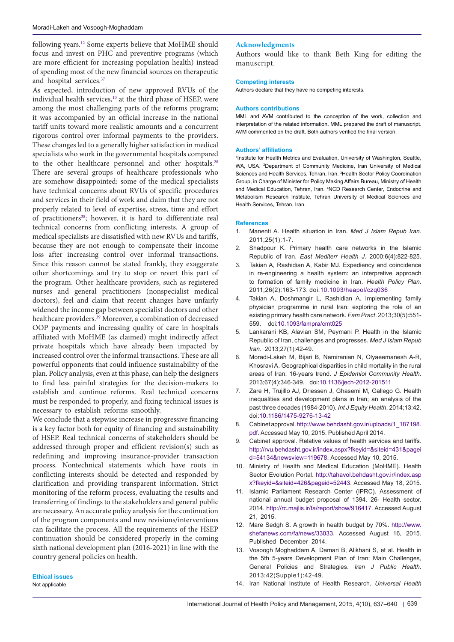following years.[12](#page-2-13) Some experts believe that MoHME should focus and invest on PHC and preventive programs (which are more efficient for increasing population health) instead of spending most of the new financial sources on therapeutic and hospital services[.37](#page-3-20)

As expected, introduction of new approved RVUs of the individual health services,<sup>10</sup> at the third phase of HSEP, were among the most challenging parts of the reforms program; it was accompanied by an official increase in the national tariff units toward more realistic amounts and a concurrent rigorous control over informal payments to the providers. These changes led to a generally higher satisfaction in medical specialists who work in the governmental hospitals compared to the other healthcare personnel and other hospitals.<sup>[28](#page-3-11)</sup> There are several groups of healthcare professionals who are somehow disappointed: some of the medical specialists have technical concerns about RVUs of specific procedures and services in their field of work and claim that they are not properly related to level of expertise, stress, time and effort of practitioners<sup>38</sup>; however, it is hard to differentiate real technical concerns from conflicting interests. A group of medical specialists are dissatisfied with new RVUs and tariffs, because they are not enough to compensate their income loss after increasing control over informal transactions. Since this reason cannot be stated frankly, they exaggerate other shortcomings and try to stop or revert this part of the program. Other healthcare providers, such as registered nurses and general practitioners (nonspecialist medical doctors), feel and claim that recent changes have unfairly widened the income gap between specialist doctors and other healthcare providers[.39](#page-3-22) Moreover, a combination of decreased OOP payments and increasing quality of care in hospitals affiliated with MoHME (as claimed) might indirectly affect private hospitals which have already been impacted by increased control over the informal transactions. These are all powerful opponents that could influence sustainability of the plan. Policy analysis, even at this phase, can help the designers to find less painful strategies for the decision-makers to establish and continue reforms. Real technical concerns must be responded to properly, and fixing technical issues is necessary to establish reforms smoothly.

We conclude that a stepwise increase in progressive financing is a key factor both for equity of financing and sustainability of HSEP. Real technical concerns of stakeholders should be addressed through proper and efficient revision(s) such as redefining and improving insurance-provider transaction process. Nontechnical statements which have roots in conflicting interests should be detected and responded by clarification and providing transparent information. Strict monitoring of the reform process, evaluating the results and transferring of findings to the stakeholders and general public are necessary. An accurate policy analysis for the continuation of the program components and new revisions/interventions can facilitate the process. All the requirements of the HSEP continuation should be considered properly in the coming sixth national development plan (2016-2021) in line with the country general policies on health.

**Ethical issues** Not applicable.

## **Acknowledgments**

Authors would like to thank Beth King for editing the manuscript.

### **Competing interests**

Authors declare that they have no competing interests.

#### **Authors contributions**

MML and AVM contributed to the conception of the work, collection and interpretation of the related information. MML prepared the draft of manuscript. AVM commented on the draft. Both authors verified the final version.

### **Authors' affiliations**

<span id="page-2-3"></span><span id="page-2-2"></span><span id="page-2-1"></span><span id="page-2-0"></span>1 Institute for Health Metrics and Evaluation, University of Washington, Seattle, WA, USA. <sup>2</sup>Department of Community Medicine, Iran University of Medical Sciences and Health Services, Tehran, Iran. <sup>3</sup> Health Sector Policy Coordination Group, in Charge of Minister for Policy Making Affairs Bureau, Ministry of Health and Medical Education, Tehran, Iran. <sup>4</sup> NCD Research Center, Endocrine and Metabolism Research Institute, Tehran University of Medical Sciences and Health Services, Tehran, Iran.

### **References**

- <span id="page-2-4"></span>1. Manenti A. Health situation in Iran. *Med J Islam Repub Iran*. 2011;25(1):1-7.
- <span id="page-2-5"></span>Shadpour K. Primary health care networks in the Islamic Republic of Iran. *East Mediterr Health J*. 2000;6(4):822-825.
- <span id="page-2-6"></span>Takian A, Rashidian A, Kabir MJ. Expediency and coincidence in re-engineering a health system: an interpretive approach to formation of family medicine in Iran. *Health Policy Plan*. 2011;26(2):163-173. doi:[10.1093/heapol/czq036](http://dx.doi.org/10.1093/heapol/czq036)
- <span id="page-2-7"></span>4. Takian A, Doshmangir L, Rashidian A. Implementing family physician programme in rural Iran: exploring the role of an existing primary health care network. *Fam Pract*. 2013;30(5):551- 559. doi[:10.1093/fampra/cmt025](http://dx.doi.org/10.1093/fampra/cmt025)
- <span id="page-2-8"></span>5. Lankarani KB, Alavian SM, Peymani P. Health in the Islamic Republic of Iran, challenges and progresses. *Med J Islam Repub Iran*. 2013;27(1):42-49.
- 6. Moradi-Lakeh M, Bijari B, Namiranian N, Olyaeemanesh A-R, Khosravi A. Geographical disparities in child mortality in the rural areas of Iran: 16-years trend. *J Epidemiol Community Health*. 2013;67(4):346-349. doi:[10.1136/jech-](http://dx.doi.org/10.1136/jech-2012-201511)2012-201511
- <span id="page-2-9"></span>7. Zare H, Trujillo AJ, Driessen J, Ghasemi M, Gallego G. Health inequalities and development plans in Iran; an analysis of the past three decades (1984-2010). *Int J Equity Health*. 2014;13:42. doi[:10.1186/1475-9276-13-42](http://dx.doi.org/10.1186/1475-9276-13-42)
- <span id="page-2-10"></span>8. Cabinet approval. [http://www.behdasht.gov.ir/uploads/1\\_187198.](http://www.behdasht.gov.ir/uploads/1_187198.pdf) [pdf](http://www.behdasht.gov.ir/uploads/1_187198.pdf). Accessed May 10, 2015. Published April 2014.
- Cabinet approval. Relative values of health services and tariffs. [http://rvu.behdasht.gov.ir/index.aspx?fkeyid=&siteid=431&pagei](http://rvu.behdasht.gov.ir/index.aspx?fkeyid=&siteid=431&pageid=54134&newsview=119678) [d=54134&newsview=119678](http://rvu.behdasht.gov.ir/index.aspx?fkeyid=&siteid=431&pageid=54134&newsview=119678). Accessed May 10, 2015.
- <span id="page-2-11"></span>10. Ministry of Health and Medical Education (MoHME). Health Sector Evolution Portal. [http://tahavol.behdasht.gov.ir/index.asp](http://tahavol.behdasht.gov.ir/index.aspx?fkeyid=&siteid=426&pageid=52443) [x?fkeyid=&siteid=426&pageid=52443](http://tahavol.behdasht.gov.ir/index.aspx?fkeyid=&siteid=426&pageid=52443). Accessed May 18, 2015.
- <span id="page-2-12"></span>11. Islamic Parliament Research Center (IPRC). Assessment of national annual budget proposal of 1394. 26- Health sector. 2014.<http://rc.majlis.ir/fa/report/show/916417>. Accessed August 21, 2015.
- <span id="page-2-13"></span>12. Mare Sedgh S. A growth in health budget by 70%. http[://www.](http://www.shefanews.com/fa/news/33033) [shefanews.com/fa/news/33033.](http://www.shefanews.com/fa/news/33033) Accessed August 16, 2015. Published December 2014.
- <span id="page-2-14"></span>13. Vosoogh Moghaddam A, Damari B, Alikhani S, et al. Health in the 5th 5-years Development Plan of Iran: Main Challenges, General Policies and Strategies. *Iran J Public Health*. 2013;42(Supple1):42-49.
- <span id="page-2-15"></span>14. Iran National Institute of Health Research. *Universal Health*